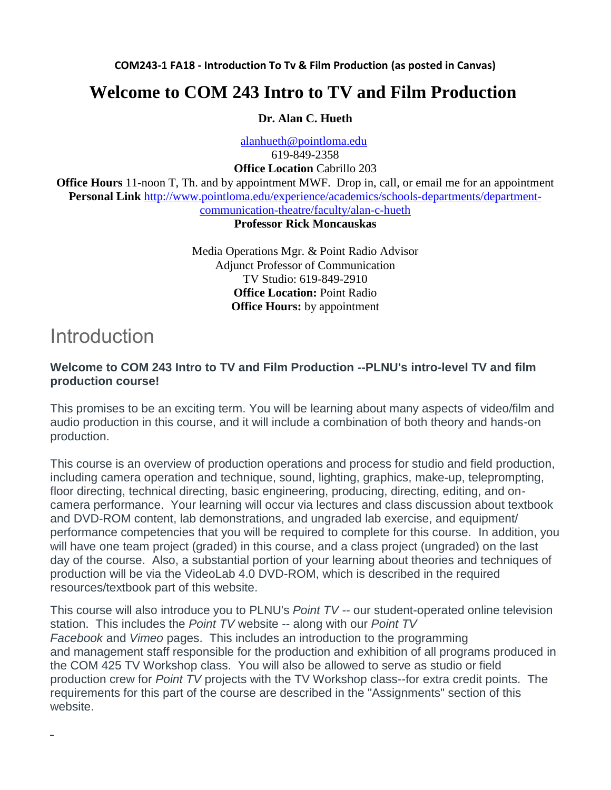**COM243-1 FA18 - Introduction To Tv & Film Production (as posted in Canvas)**

### **Welcome to COM 243 Intro to TV and Film Production**

#### **Dr. Alan C. Hueth**

[alanhueth@pointloma.edu](mailto:alanhueth@pointloma.edu)

619-849-2358

**Office Location** Cabrillo 203

**Office Hours** 11-noon T, Th. and by appointment MWF. Drop in, call, or email me for an appointment **Personal Link** [http://www.pointloma.edu/experience/academics/schools-departments/department](http://www.pointloma.edu/experience/academics/schools-departments/department-communication-theatre/faculty/alan-c-hueth)[communication-theatre/faculty/alan-c-hueth](http://www.pointloma.edu/experience/academics/schools-departments/department-communication-theatre/faculty/alan-c-hueth)

#### **Professor Rick Moncauskas**

Media Operations Mgr. & Point Radio Advisor Adjunct Professor of Communication TV Studio: 619-849-2910 **Office Location:** Point Radio **Office Hours:** by appointment

### Introduction

#### **Welcome to COM 243 Intro to TV and Film Production --PLNU's intro-level TV and film production course!**

This promises to be an exciting term. You will be learning about many aspects of video/film and audio production in this course, and it will include a combination of both theory and hands-on production.

This course is an overview of production operations and process for studio and field production, including camera operation and technique, sound, lighting, graphics, make-up, teleprompting, floor directing, technical directing, basic engineering, producing, directing, editing, and oncamera performance. Your learning will occur via lectures and class discussion about textbook and DVD-ROM content, lab demonstrations, and ungraded lab exercise, and equipment/ performance competencies that you will be required to complete for this course. In addition, you will have one team project (graded) in this course, and a class project (ungraded) on the last day of the course. Also, a substantial portion of your learning about theories and techniques of production will be via the VideoLab 4.0 DVD-ROM, which is described in the required resources/textbook part of this website.

This course will also introduce you to PLNU's *Point TV --* our student-operated online television station. This includes the *Point TV* website -- along with our *Point TV Facebook* and *Vimeo* pages. This includes an introduction to the programming and management staff responsible for the production and exhibition of all programs produced in the COM 425 TV Workshop class. You will also be allowed to serve as studio or field production crew for *Point TV* projects with the TV Workshop class--for extra credit points. The requirements for this part of the course are described in the "Assignments" section of this website.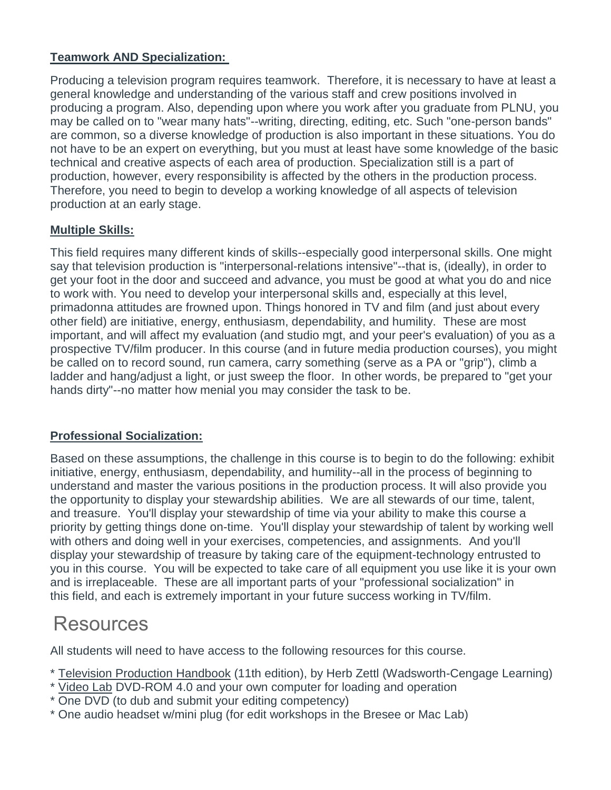#### **Teamwork AND Specialization:**

Producing a television program requires teamwork. Therefore, it is necessary to have at least a general knowledge and understanding of the various staff and crew positions involved in producing a program. Also, depending upon where you work after you graduate from PLNU, you may be called on to "wear many hats"--writing, directing, editing, etc. Such "one-person bands" are common, so a diverse knowledge of production is also important in these situations. You do not have to be an expert on everything, but you must at least have some knowledge of the basic technical and creative aspects of each area of production. Specialization still is a part of production, however, every responsibility is affected by the others in the production process. Therefore, you need to begin to develop a working knowledge of all aspects of television production at an early stage.

#### **Multiple Skills:**

This field requires many different kinds of skills--especially good interpersonal skills. One might say that television production is "interpersonal-relations intensive"--that is, (ideally), in order to get your foot in the door and succeed and advance, you must be good at what you do and nice to work with. You need to develop your interpersonal skills and, especially at this level, primadonna attitudes are frowned upon. Things honored in TV and film (and just about every other field) are initiative, energy, enthusiasm, dependability, and humility. These are most important, and will affect my evaluation (and studio mgt, and your peer's evaluation) of you as a prospective TV/film producer. In this course (and in future media production courses), you might be called on to record sound, run camera, carry something (serve as a PA or "grip"), climb a ladder and hang/adjust a light, or just sweep the floor. In other words, be prepared to "get your hands dirty"--no matter how menial you may consider the task to be.

#### **Professional Socialization:**

Based on these assumptions, the challenge in this course is to begin to do the following: exhibit initiative, energy, enthusiasm, dependability, and humility--all in the process of beginning to understand and master the various positions in the production process. It will also provide you the opportunity to display your stewardship abilities. We are all stewards of our time, talent, and treasure. You'll display your stewardship of time via your ability to make this course a priority by getting things done on-time. You'll display your stewardship of talent by working well with others and doing well in your exercises, competencies, and assignments. And you'll display your stewardship of treasure by taking care of the equipment-technology entrusted to you in this course. You will be expected to take care of all equipment you use like it is your own and is irreplaceable. These are all important parts of your "professional socialization" in this field, and each is extremely important in your future success working in TV/film.

### **Resources**

All students will need to have access to the following resources for this course.

- \* Television Production Handbook (11th edition), by Herb Zettl (Wadsworth-Cengage Learning)
- \* Video Lab DVD-ROM 4.0 and your own computer for loading and operation
- \* One DVD (to dub and submit your editing competency)
- \* One audio headset w/mini plug (for edit workshops in the Bresee or Mac Lab)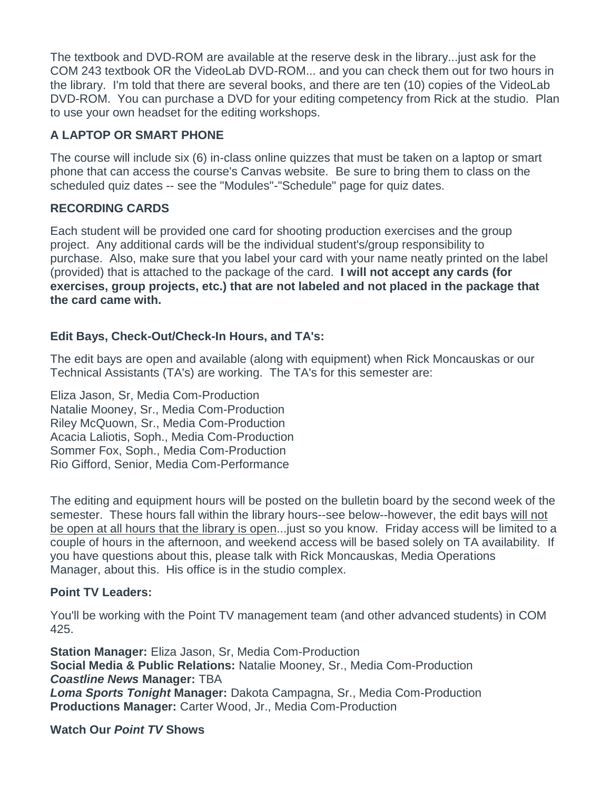The textbook and DVD-ROM are available at the reserve desk in the library...just ask for the COM 243 textbook OR the VideoLab DVD-ROM... and you can check them out for two hours in the library. I'm told that there are several books, and there are ten (10) copies of the VideoLab DVD-ROM. You can purchase a DVD for your editing competency from Rick at the studio. Plan to use your own headset for the editing workshops.

#### **A LAPTOP OR SMART PHONE**

The course will include six (6) in-class online quizzes that must be taken on a laptop or smart phone that can access the course's Canvas website. Be sure to bring them to class on the scheduled quiz dates -- see the "Modules"-"Schedule" page for quiz dates.

#### **RECORDING CARDS**

Each student will be provided one card for shooting production exercises and the group project. Any additional cards will be the individual student's/group responsibility to purchase. Also, make sure that you label your card with your name neatly printed on the label (provided) that is attached to the package of the card. **I will not accept any cards (for exercises, group projects, etc.) that are not labeled and not placed in the package that the card came with.**

#### **Edit Bays, Check-Out/Check-In Hours, and TA's:**

The edit bays are open and available (along with equipment) when Rick Moncauskas or our Technical Assistants (TA's) are working. The TA's for this semester are:

Eliza Jason, Sr, Media Com-Production Natalie Mooney, Sr., Media Com-Production Riley McQuown, Sr., Media Com-Production Acacia Laliotis, Soph., Media Com-Production Sommer Fox, Soph., Media Com-Production Rio Gifford, Senior, Media Com-Performance

The editing and equipment hours will be posted on the bulletin board by the second week of the semester. These hours fall within the library hours--see below--however, the edit bays will not be open at all hours that the library is open...just so you know. Friday access will be limited to a couple of hours in the afternoon, and weekend access will be based solely on TA availability. If you have questions about this, please talk with Rick Moncauskas, Media Operations Manager, about this. His office is in the studio complex.

#### **Point TV Leaders:**

You'll be working with the Point TV management team (and other advanced students) in COM 425.

**Station Manager:** Eliza Jason, Sr, Media Com-Production **Social Media & Public Relations:** Natalie Mooney, Sr., Media Com-Production *Coastline News* **Manager:** TBA *Loma Sports Tonight* **Manager:** Dakota Campagna, Sr., Media Com-Production **Productions Manager:** Carter Wood, Jr., Media Com-Production

**Watch Our** *Point TV* **Shows**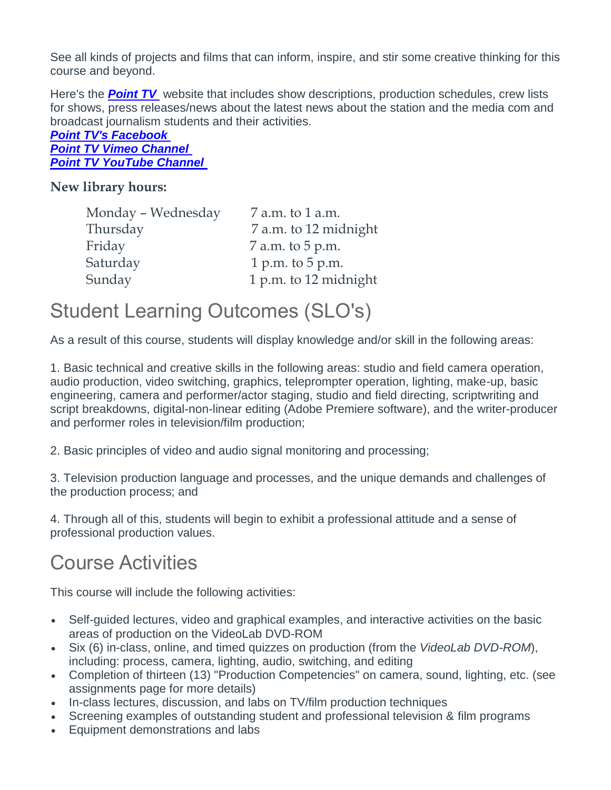See all kinds of projects and films that can inform, inspire, and stir some creative thinking for this course and beyond.

Here's the **[Point TV](http://pointtv23.com/com425and243/)** website that includes show descriptions, production schedules, crew lists for shows, press releases/news about the latest news about the station and the media com and broadcast journalism students and their activities.

*[Point TV's Facebook](https://www.facebook.com/pages/Point-TV/447038881997027?ref=hl) Point TV [Vimeo Channel](http://vimeo.com/channels/pointtv/52421676) [Point TV YouTube Channel](https://www.youtube.com/channel/UCbSHEdR_GA73Wpay3g4OuBQ)*

#### **New library hours:**

| Monday - Wednesday | 7 a.m. to 1 a.m.      |
|--------------------|-----------------------|
| Thursday           | 7 a.m. to 12 midnight |
| Friday             | 7 a.m. to 5 p.m.      |
| Saturday           | 1 p.m. to $5$ p.m.    |
| Sunday             | 1 p.m. to 12 midnight |

### Student Learning Outcomes (SLO's)

As a result of this course, students will display knowledge and/or skill in the following areas:

1. Basic technical and creative skills in the following areas: studio and field camera operation, audio production, video switching, graphics, teleprompter operation, lighting, make-up, basic engineering, camera and performer/actor staging, studio and field directing, scriptwriting and script breakdowns, digital-non-linear editing (Adobe Premiere software), and the writer-producer and performer roles in television/film production;

2. Basic principles of video and audio signal monitoring and processing;

3. Television production language and processes, and the unique demands and challenges of the production process; and

4. Through all of this, students will begin to exhibit a professional attitude and a sense of professional production values.

## Course Activities

This course will include the following activities:

- Self-guided lectures, video and graphical examples, and interactive activities on the basic areas of production on the VideoLab DVD-ROM
- Six (6) in-class, online, and timed quizzes on production (from the *VideoLab DVD-ROM*), including: process, camera, lighting, audio, switching, and editing
- Completion of thirteen (13) "Production Competencies" on camera, sound, lighting, etc. (see assignments page for more details)
- In-class lectures, discussion, and labs on TV/film production techniques
- Screening examples of outstanding student and professional television & film programs
- Equipment demonstrations and labs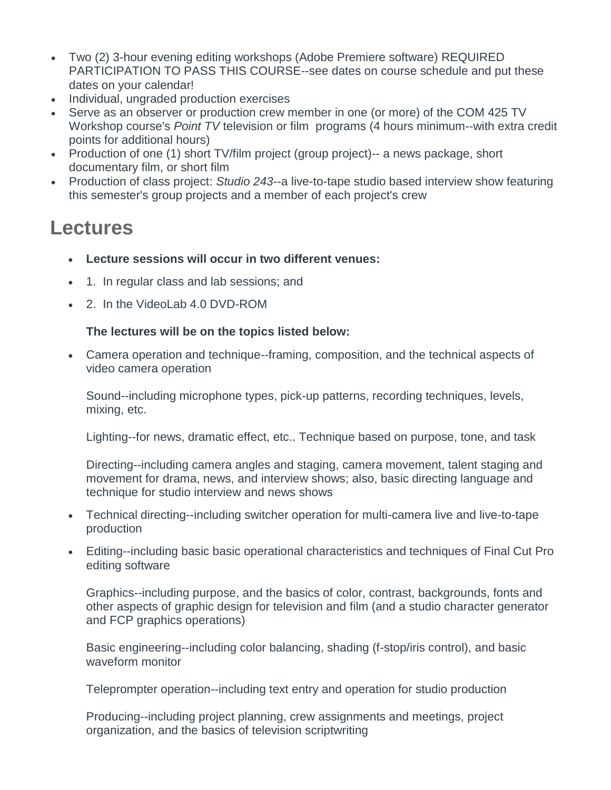- Two (2) 3-hour evening editing workshops (Adobe Premiere software) REQUIRED PARTICIPATION TO PASS THIS COURSE--see dates on course schedule and put these dates on your calendar!
- Individual, ungraded production exercises
- Serve as an observer or production crew member in one (or more) of the COM 425 TV Workshop course's *Point TV* television or film programs (4 hours minimum--with extra credit points for additional hours)
- Production of one (1) short TV/film project (group project)-- a news package, short documentary film, or short film
- Production of class project: *Studio 243*--a live-to-tape studio based interview show featuring this semester's group projects and a member of each project's crew

## **Lectures**

- **Lecture sessions will occur in two different venues:**
- 1. In regular class and lab sessions; and
- 2. In the VideoLab 4.0 DVD-ROM

#### **The lectures will be on the topics listed below:**

• Camera operation and technique--framing, composition, and the technical aspects of video camera operation

Sound--including microphone types, pick-up patterns, recording techniques, levels, mixing, etc.

Lighting--for news, dramatic effect, etc.. Technique based on purpose, tone, and task

Directing--including camera angles and staging, camera movement, talent staging and movement for drama, news, and interview shows; also, basic directing language and technique for studio interview and news shows

- Technical directing--including switcher operation for multi-camera live and live-to-tape production
- Editing--including basic basic operational characteristics and techniques of Final Cut Pro editing software

Graphics--including purpose, and the basics of color, contrast, backgrounds, fonts and other aspects of graphic design for television and film (and a studio character generator and FCP graphics operations)

Basic engineering--including color balancing, shading (f-stop/iris control), and basic waveform monitor

Teleprompter operation--including text entry and operation for studio production

Producing--including project planning, crew assignments and meetings, project organization, and the basics of television scriptwriting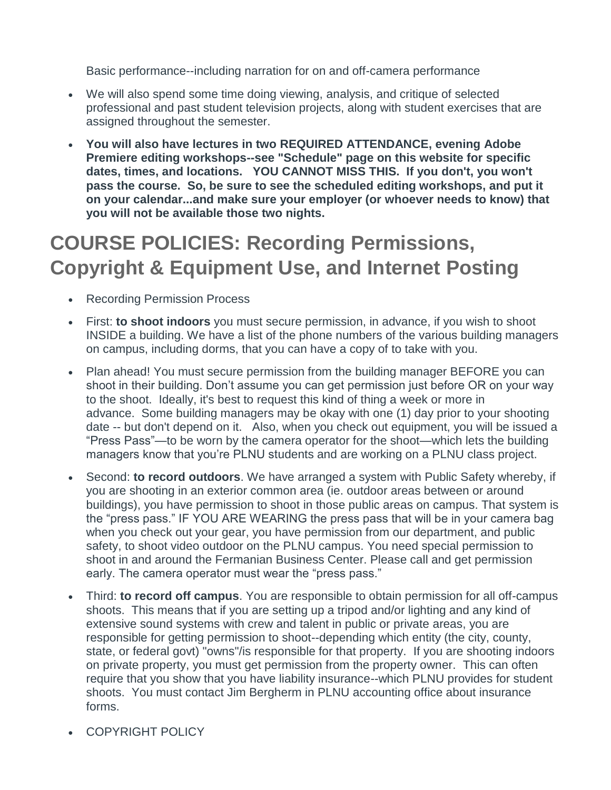Basic performance--including narration for on and off-camera performance

- We will also spend some time doing viewing, analysis, and critique of selected professional and past student television projects, along with student exercises that are assigned throughout the semester.
- **You will also have lectures in two REQUIRED ATTENDANCE, evening Adobe Premiere editing workshops--see "Schedule" page on this website for specific dates, times, and locations. YOU CANNOT MISS THIS. If you don't, you won't pass the course. So, be sure to see the scheduled editing workshops, and put it on your calendar...and make sure your employer (or whoever needs to know) that you will not be available those two nights.**

# **COURSE POLICIES: Recording Permissions, Copyright & Equipment Use, and Internet Posting**

- Recording Permission Process
- First: **to shoot indoors** you must secure permission, in advance, if you wish to shoot INSIDE a building. We have a list of the phone numbers of the various building managers on campus, including dorms, that you can have a copy of to take with you.
- Plan ahead! You must secure permission from the building manager BEFORE you can shoot in their building. Don't assume you can get permission just before OR on your way to the shoot. Ideally, it's best to request this kind of thing a week or more in advance. Some building managers may be okay with one (1) day prior to your shooting date -- but don't depend on it. Also, when you check out equipment, you will be issued a "Press Pass"—to be worn by the camera operator for the shoot—which lets the building managers know that you're PLNU students and are working on a PLNU class project.
- Second: **to record outdoors**. We have arranged a system with Public Safety whereby, if you are shooting in an exterior common area (ie. outdoor areas between or around buildings), you have permission to shoot in those public areas on campus. That system is the "press pass." IF YOU ARE WEARING the press pass that will be in your camera bag when you check out your gear, you have permission from our department, and public safety, to shoot video outdoor on the PLNU campus. You need special permission to shoot in and around the Fermanian Business Center. Please call and get permission early. The camera operator must wear the "press pass."
- Third: **to record off campus**. You are responsible to obtain permission for all off-campus shoots. This means that if you are setting up a tripod and/or lighting and any kind of extensive sound systems with crew and talent in public or private areas, you are responsible for getting permission to shoot--depending which entity (the city, county, state, or federal govt) "owns"/is responsible for that property. If you are shooting indoors on private property, you must get permission from the property owner. This can often require that you show that you have liability insurance--which PLNU provides for student shoots. You must contact Jim Bergherm in PLNU accounting office about insurance forms.
- COPYRIGHT POLICY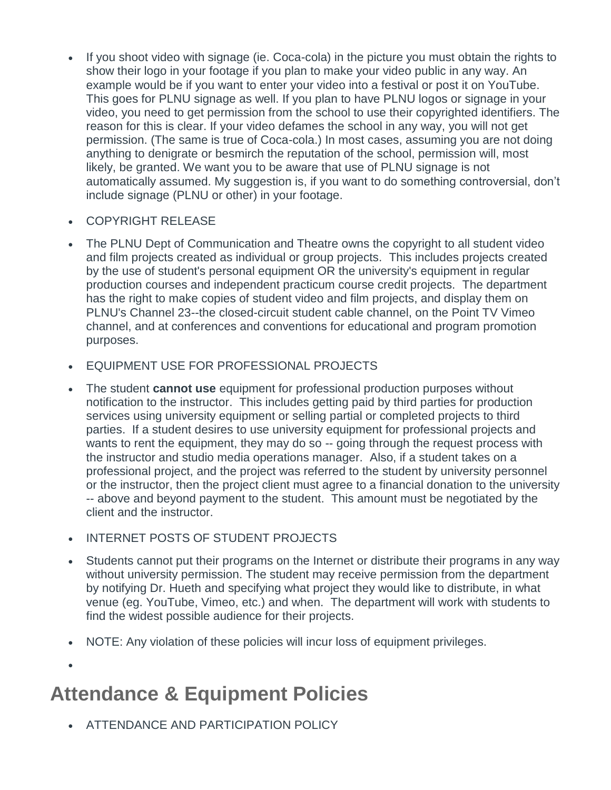- If you shoot video with signage (ie. Coca-cola) in the picture you must obtain the rights to show their logo in your footage if you plan to make your video public in any way. An example would be if you want to enter your video into a festival or post it on YouTube. This goes for PLNU signage as well. If you plan to have PLNU logos or signage in your video, you need to get permission from the school to use their copyrighted identifiers. The reason for this is clear. If your video defames the school in any way, you will not get permission. (The same is true of Coca-cola.) In most cases, assuming you are not doing anything to denigrate or besmirch the reputation of the school, permission will, most likely, be granted. We want you to be aware that use of PLNU signage is not automatically assumed. My suggestion is, if you want to do something controversial, don't include signage (PLNU or other) in your footage.
- COPYRIGHT RELEASE
- The PLNU Dept of Communication and Theatre owns the copyright to all student video and film projects created as individual or group projects. This includes projects created by the use of student's personal equipment OR the university's equipment in regular production courses and independent practicum course credit projects. The department has the right to make copies of student video and film projects, and display them on PLNU's Channel 23--the closed-circuit student cable channel, on the Point TV Vimeo channel, and at conferences and conventions for educational and program promotion purposes.
- EQUIPMENT USE FOR PROFESSIONAL PROJECTS
- The student **cannot use** equipment for professional production purposes without notification to the instructor. This includes getting paid by third parties for production services using university equipment or selling partial or completed projects to third parties. If a student desires to use university equipment for professional projects and wants to rent the equipment, they may do so -- going through the request process with the instructor and studio media operations manager. Also, if a student takes on a professional project, and the project was referred to the student by university personnel or the instructor, then the project client must agree to a financial donation to the university -- above and beyond payment to the student. This amount must be negotiated by the client and the instructor.
- INTERNET POSTS OF STUDENT PROJECTS
- Students cannot put their programs on the Internet or distribute their programs in any way without university permission. The student may receive permission from the department by notifying Dr. Hueth and specifying what project they would like to distribute, in what venue (eg. YouTube, Vimeo, etc.) and when. The department will work with students to find the widest possible audience for their projects.
- NOTE: Any violation of these policies will incur loss of equipment privileges.

# **Attendance & Equipment Policies**

• ATTENDANCE AND PARTICIPATION POLICY

•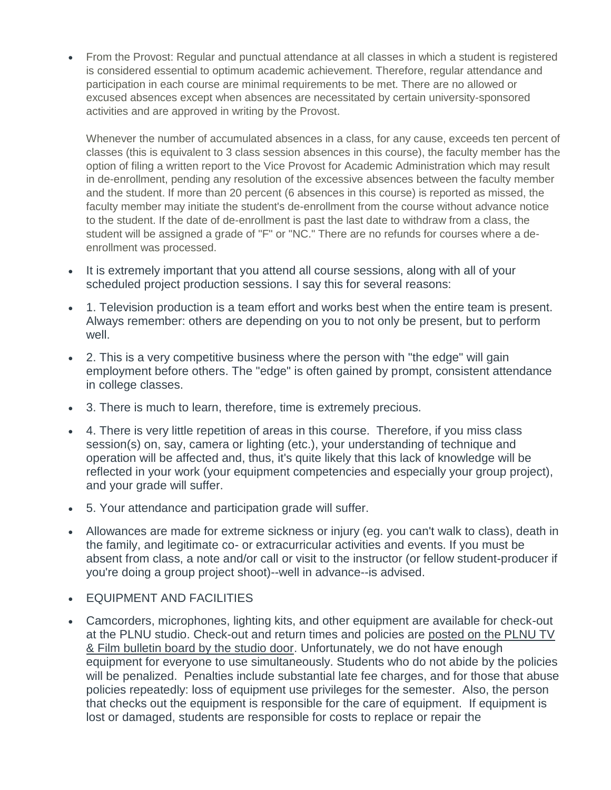• From the Provost: Regular and punctual attendance at all classes in which a student is registered is considered essential to optimum academic achievement. Therefore, regular attendance and participation in each course are minimal requirements to be met. There are no allowed or excused absences except when absences are necessitated by certain university-sponsored activities and are approved in writing by the Provost.

Whenever the number of accumulated absences in a class, for any cause, exceeds ten percent of classes (this is equivalent to 3 class session absences in this course), the faculty member has the option of filing a written report to the Vice Provost for Academic Administration which may result in de-enrollment, pending any resolution of the excessive absences between the faculty member and the student. If more than 20 percent (6 absences in this course) is reported as missed, the faculty member may initiate the student's de-enrollment from the course without advance notice to the student. If the date of de-enrollment is past the last date to withdraw from a class, the student will be assigned a grade of "F" or "NC." There are no refunds for courses where a deenrollment was processed.

- It is extremely important that you attend all course sessions, along with all of your scheduled project production sessions. I say this for several reasons:
- 1. Television production is a team effort and works best when the entire team is present. Always remember: others are depending on you to not only be present, but to perform well.
- 2. This is a very competitive business where the person with "the edge" will gain employment before others. The "edge" is often gained by prompt, consistent attendance in college classes.
- 3. There is much to learn, therefore, time is extremely precious.
- 4. There is very little repetition of areas in this course. Therefore, if you miss class session(s) on, say, camera or lighting (etc.), your understanding of technique and operation will be affected and, thus, it's quite likely that this lack of knowledge will be reflected in your work (your equipment competencies and especially your group project), and your grade will suffer.
- 5. Your attendance and participation grade will suffer.
- Allowances are made for extreme sickness or injury (eg. you can't walk to class), death in the family, and legitimate co- or extracurricular activities and events. If you must be absent from class, a note and/or call or visit to the instructor (or fellow student-producer if you're doing a group project shoot)--well in advance--is advised.
- EQUIPMENT AND FACILITIES
- Camcorders, microphones, lighting kits, and other equipment are available for check-out at the PLNU studio. Check-out and return times and policies are posted on the PLNU TV & Film bulletin board by the studio door. Unfortunately, we do not have enough equipment for everyone to use simultaneously. Students who do not abide by the policies will be penalized. Penalties include substantial late fee charges, and for those that abuse policies repeatedly: loss of equipment use privileges for the semester. Also, the person that checks out the equipment is responsible for the care of equipment. If equipment is lost or damaged, students are responsible for costs to replace or repair the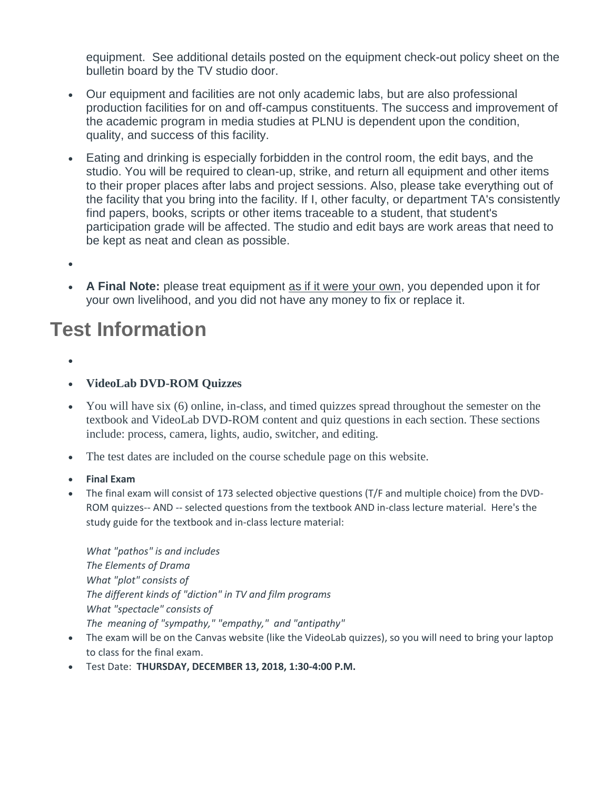equipment. See additional details posted on the equipment check-out policy sheet on the bulletin board by the TV studio door.

- Our equipment and facilities are not only academic labs, but are also professional production facilities for on and off-campus constituents. The success and improvement of the academic program in media studies at PLNU is dependent upon the condition, quality, and success of this facility.
- Eating and drinking is especially forbidden in the control room, the edit bays, and the studio. You will be required to clean-up, strike, and return all equipment and other items to their proper places after labs and project sessions. Also, please take everything out of the facility that you bring into the facility. If I, other faculty, or department TA's consistently find papers, books, scripts or other items traceable to a student, that student's participation grade will be affected. The studio and edit bays are work areas that need to be kept as neat and clean as possible.
- •
- **A Final Note:** please treat equipment as if it were your own, you depended upon it for your own livelihood, and you did not have any money to fix or replace it.

## **Test Information**

- •
- **VideoLab DVD-ROM Quizzes**
- You will have six (6) online, in-class, and timed quizzes spread throughout the semester on the textbook and VideoLab DVD-ROM content and quiz questions in each section. These sections include: process, camera, lights, audio, switcher, and editing.
- The test dates are included on the course schedule page on this website.
- **Final Exam**
- The final exam will consist of 173 selected objective questions (T/F and multiple choice) from the DVD-ROM quizzes-- AND -- selected questions from the textbook AND in-class lecture material. Here's the study guide for the textbook and in-class lecture material:

*What "pathos" is and includes The Elements of Drama What "plot" consists of The different kinds of "diction" in TV and film programs What "spectacle" consists of The meaning of "sympathy," "empathy," and "antipathy"*

- The exam will be on the Canvas website (like the VideoLab quizzes), so you will need to bring your laptop to class for the final exam.
- Test Date: **THURSDAY, DECEMBER 13, 2018, 1:30-4:00 P.M.**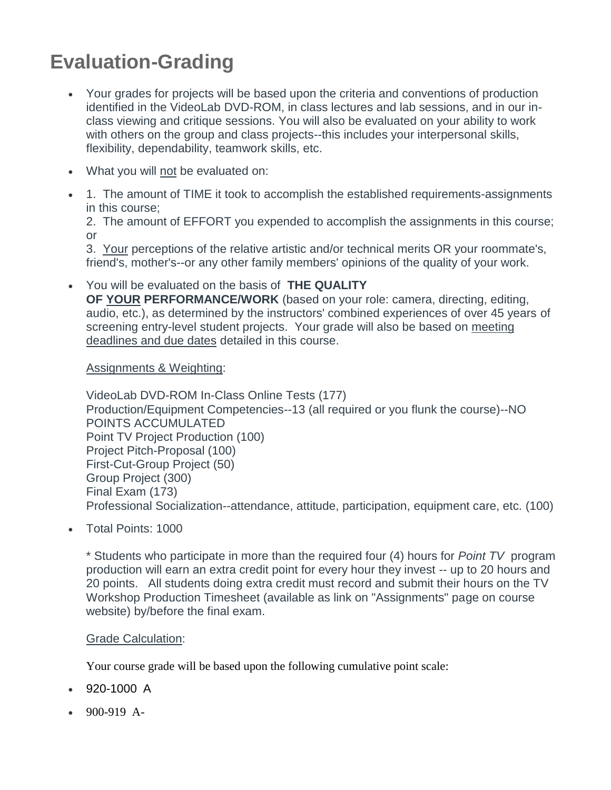# **Evaluation-Grading**

- Your grades for projects will be based upon the criteria and conventions of production identified in the VideoLab DVD-ROM, in class lectures and lab sessions, and in our inclass viewing and critique sessions. You will also be evaluated on your ability to work with others on the group and class projects--this includes your interpersonal skills, flexibility, dependability, teamwork skills, etc.
- What you will not be evaluated on:
- 1. The amount of TIME it took to accomplish the established requirements-assignments in this course;

2. The amount of EFFORT you expended to accomplish the assignments in this course; or

3. Your perceptions of the relative artistic and/or technical merits OR your roommate's, friend's, mother's--or any other family members' opinions of the quality of your work.

• You will be evaluated on the basis of **THE QUALITY OF YOUR PERFORMANCE/WORK** (based on your role: camera, directing, editing, audio, etc.), as determined by the instructors' combined experiences of over 45 years of screening entry-level student projects. Your grade will also be based on meeting deadlines and due dates detailed in this course.

#### Assignments & Weighting:

VideoLab DVD-ROM In-Class Online Tests (177) Production/Equipment Competencies--13 (all required or you flunk the course)--NO POINTS ACCUMULATED Point TV Project Production (100) Project Pitch-Proposal (100) First-Cut-Group Project (50) Group Project (300) Final Exam (173) Professional Socialization--attendance, attitude, participation, equipment care, etc. (100)

• Total Points: 1000

\* Students who participate in more than the required four (4) hours for *Point TV* program production will earn an extra credit point for every hour they invest -- up to 20 hours and 20 points. All students doing extra credit must record and submit their hours on the TV Workshop Production Timesheet (available as link on "Assignments" page on course website) by/before the final exam.

#### Grade Calculation:

Your course grade will be based upon the following cumulative point scale:

- 920-1000 A
- 900-919 A-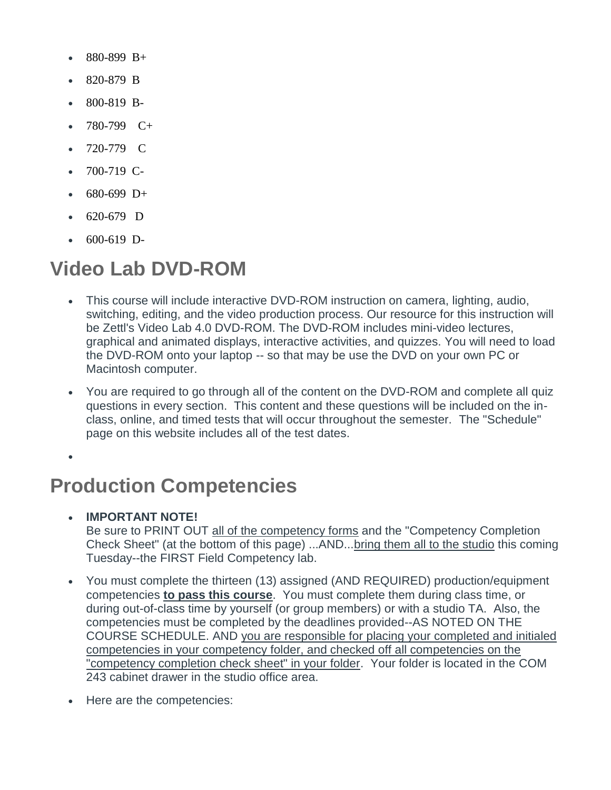- 880-899 B+
- 820-879 B
- 800-819 B-
- 780-799 C+
- 720-779 C
- 700-719 C-
- 680-699 D+
- 620-679 D
- 600-619 D-

## **Video Lab DVD-ROM**

- This course will include interactive DVD-ROM instruction on camera, lighting, audio, switching, editing, and the video production process. Our resource for this instruction will be Zettl's Video Lab 4.0 DVD-ROM. The DVD-ROM includes mini-video lectures, graphical and animated displays, interactive activities, and quizzes. You will need to load the DVD-ROM onto your laptop -- so that may be use the DVD on your own PC or Macintosh computer.
- You are required to go through all of the content on the DVD-ROM and complete all quiz questions in every section. This content and these questions will be included on the inclass, online, and timed tests that will occur throughout the semester. The "Schedule" page on this website includes all of the test dates.

•

## **Production Competencies**

• **IMPORTANT NOTE!**

Be sure to PRINT OUT all of the competency forms and the "Competency Completion Check Sheet" (at the bottom of this page) ...AND...bring them all to the studio this coming Tuesday--the FIRST Field Competency lab.

- You must complete the thirteen (13) assigned (AND REQUIRED) production/equipment competencies **to pass this course**. You must complete them during class time, or during out-of-class time by yourself (or group members) or with a studio TA. Also, the competencies must be completed by the deadlines provided--AS NOTED ON THE COURSE SCHEDULE. AND you are responsible for placing your completed and initialed competencies in your competency folder, and checked off all competencies on the "competency completion check sheet" in your folder. Your folder is located in the COM 243 cabinet drawer in the studio office area.
- Here are the competencies: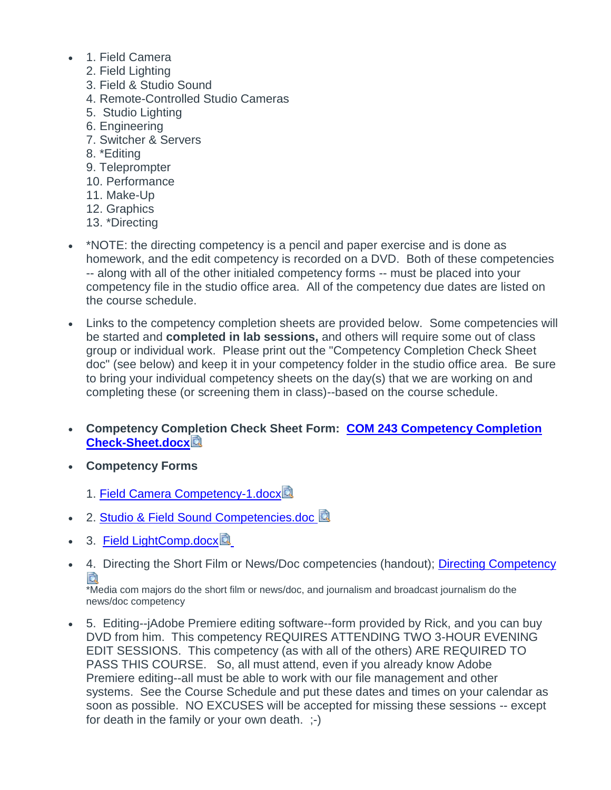- 1. Field Camera
	- 2. Field Lighting
	- 3. Field & Studio Sound
	- 4. Remote-Controlled Studio Cameras
	- 5. Studio Lighting
	- 6. Engineering
	- 7. Switcher & Servers
	- 8. \*Editing
	- 9. Teleprompter
	- 10. Performance
	- 11. Make-Up
	- 12. Graphics
	- 13. \*Directing
- \*NOTE: the directing competency is a pencil and paper exercise and is done as homework, and the edit competency is recorded on a DVD. Both of these competencies -- along with all of the other initialed competency forms -- must be placed into your competency file in the studio office area. All of the competency due dates are listed on the course schedule.
- Links to the competency completion sheets are provided below. Some competencies will be started and **completed in lab sessions,** and others will require some out of class group or individual work. Please print out the "Competency Completion Check Sheet doc" (see below) and keep it in your competency folder in the studio office area. Be sure to bring your individual competency sheets on the day(s) that we are working on and completing these (or screening them in class)--based on the course schedule.
- **Competency Completion Check Sheet Form: [COM 243 Competency Completion](https://canvas.pointloma.edu/courses/42037/files/2069952/download?wrap=1)  [Check-Sheet.docx](https://canvas.pointloma.edu/courses/42037/files/2069952/download?wrap=1)**
- **Competency Forms**
	- 1. [Field Camera Competency-1.docx](https://canvas.pointloma.edu/courses/42037/files/2069900/download?wrap=1)
- 2. [Studio & Field Sound Competencies.doc](https://canvas.pointloma.edu/courses/42037/files/2069893/download?wrap=1) **國**
- 3. [Field LightComp.docx](https://canvas.pointloma.edu/courses/42037/files/2069958/download?wrap=1)
- 4. Directing the Short Film or News/Doc competencies (handout); [Directing Competency](https://canvas.pointloma.edu/courses/42037/files/2069961/download?wrap=1)

\*Media com majors do the short film or news/doc, and journalism and broadcast journalism do the news/doc competency

• 5. Editing--jAdobe Premiere editing software--form provided by Rick, and you can buy DVD from him. This competency REQUIRES ATTENDING TWO 3-HOUR EVENING EDIT SESSIONS. This competency (as with all of the others) ARE REQUIRED TO PASS THIS COURSE. So, all must attend, even if you already know Adobe Premiere editing--all must be able to work with our file management and other systems. See the Course Schedule and put these dates and times on your calendar as soon as possible. NO EXCUSES will be accepted for missing these sessions -- except for death in the family or your own death. ;-)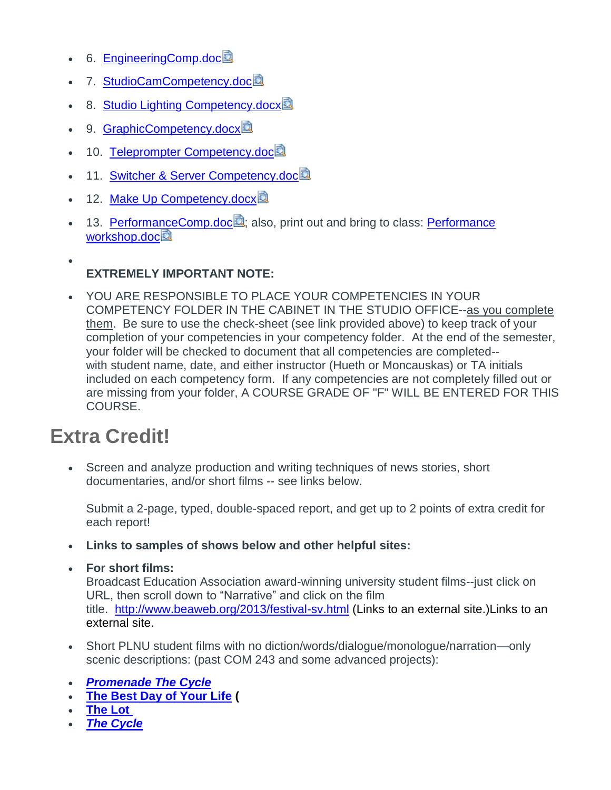- 6. [EngineeringComp.doc](https://canvas.pointloma.edu/courses/42037/files/2069933/download?wrap=1)
- 7. StudioCamCompetency.doc
- 8. [Studio Lighting Competency.docx](https://canvas.pointloma.edu/courses/42037/files/2069931/download?wrap=1)
- 9. [GraphicCompetency.docx](https://canvas.pointloma.edu/courses/42037/files/2069929/download?wrap=1)
- 10. [Teleprompter Competency.doc](https://canvas.pointloma.edu/courses/42037/files/2069930/download?wrap=1)
- 11. [Switcher & Server Competency.doc](https://canvas.pointloma.edu/courses/42037/files/2069892/download?wrap=1)
- 12. [Make Up Competency.docx](https://canvas.pointloma.edu/courses/42037/files/2069925/download?wrap=1)
- 13. [PerformanceComp.doc](https://canvas.pointloma.edu/courses/42037/files/2069924/download?wrap=1) : also, print out and bring to class: Performance [workshop.doc](https://canvas.pointloma.edu/courses/42037/files/2069923/download?wrap=1)<sup>2</sup>

### **EXTREMELY IMPORTANT NOTE:**

• YOU ARE RESPONSIBLE TO PLACE YOUR COMPETENCIES IN YOUR COMPETENCY FOLDER IN THE CABINET IN THE STUDIO OFFICE--as you complete them. Be sure to use the check-sheet (see link provided above) to keep track of your completion of your competencies in your competency folder. At the end of the semester, your folder will be checked to document that all competencies are completed- with student name, date, and either instructor (Hueth or Moncauskas) or TA initials included on each competency form. If any competencies are not completely filled out or are missing from your folder, A COURSE GRADE OF "F" WILL BE ENTERED FOR THIS COURSE.

### **Extra Credit!**

•

• Screen and analyze production and writing techniques of news stories, short documentaries, and/or short films -- see links below.

Submit a 2-page, typed, double-spaced report, and get up to 2 points of extra credit for each report!

- **Links to samples of shows below and other helpful sites:**
- **For short films:**

Broadcast Education Association award-winning university student films--just click on URL, then scroll down to "Narrative" and click on the film title. <http://www.beaweb.org/2013/festival-sv.html> (Links to an external site.)Links to an [external](http://www.beaweb.org/2013/festival-sv.html) site.

- Short PLNU student films with no diction/words/dialogue/monologue/narration—only scenic descriptions: (past COM 243 and some advanced projects):
- *[Promenade The Cycle](https://pointtv23.com/scriptwriting-textbook-examples/)*
- **[The Best Day of Your Life](https://pointtv23.com/scriptwriting-textbook-examples/) (**
- **[The Lot](https://pointtv23.com/scriptwriting-textbook-examples/)**
- *[The Cycle](https://pointtv23.com/scriptwriting-textbook-examples/)*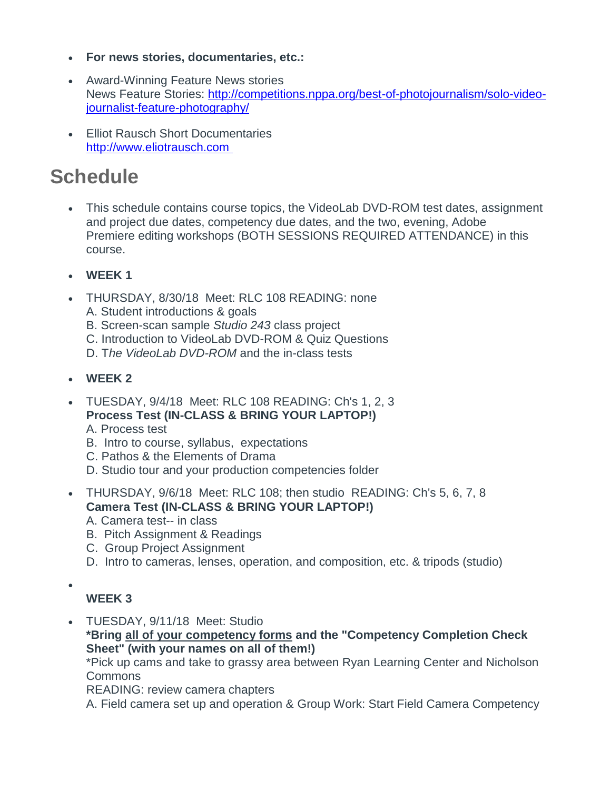- **For news stories, documentaries, etc.:**
- Award-Winning Feature News stories News Feature Stories: [http://competitions.nppa.org/best-of-photojournalism/solo-video](http://competitions.nppa.org/best-of-photojournalism/solo-video-journalist-feature-photography/)[journalist-feature-photography/](http://competitions.nppa.org/best-of-photojournalism/solo-video-journalist-feature-photography/)
- Elliot Rausch Short Documentaries [http://www.eliotrausch.com](http://www.eliotrausch.com )

# **Schedule**

- This schedule contains course topics, the VideoLab DVD-ROM test dates, assignment and project due dates, competency due dates, and the two, evening, Adobe Premiere editing workshops (BOTH SESSIONS REQUIRED ATTENDANCE) in this course.
- **WEEK 1**
- THURSDAY, 8/30/18 Meet: RLC 108 READING: none
	- A. Student introductions & goals
	- B. Screen-scan sample *Studio 243* class project
	- C. Introduction to VideoLab DVD-ROM & Quiz Questions
	- D. The VideoLab DVD-ROM and the in-class tests
- **WEEK 2**
- TUESDAY, 9/4/18 Meet: RLC 108 READING: Ch's 1, 2, 3 **Process Test (IN-CLASS & BRING YOUR LAPTOP!)**
	- A. Process test
	- B. Intro to course, syllabus, expectations
	- C. Pathos & the Elements of Drama
	- D. Studio tour and your production competencies folder
- THURSDAY, 9/6/18 Meet: RLC 108; then studio READING: Ch's 5, 6, 7, 8 **Camera Test (IN-CLASS & BRING YOUR LAPTOP!)** A. Camera test-- in class
	- B. Pitch Assignment & Readings
	- C. Group Project Assignment
	- D. Intro to cameras, lenses, operation, and composition, etc. & tripods (studio)
- •

### **WEEK 3**

• TUESDAY, 9/11/18 Meet: Studio **\*Bring all of your competency forms and the "Competency Completion Check Sheet" (with your names on all of them!)** \*Pick up cams and take to grassy area between Ryan Learning Center and Nicholson

Commons

READING: review camera chapters

A. Field camera set up and operation & Group Work: Start Field Camera Competency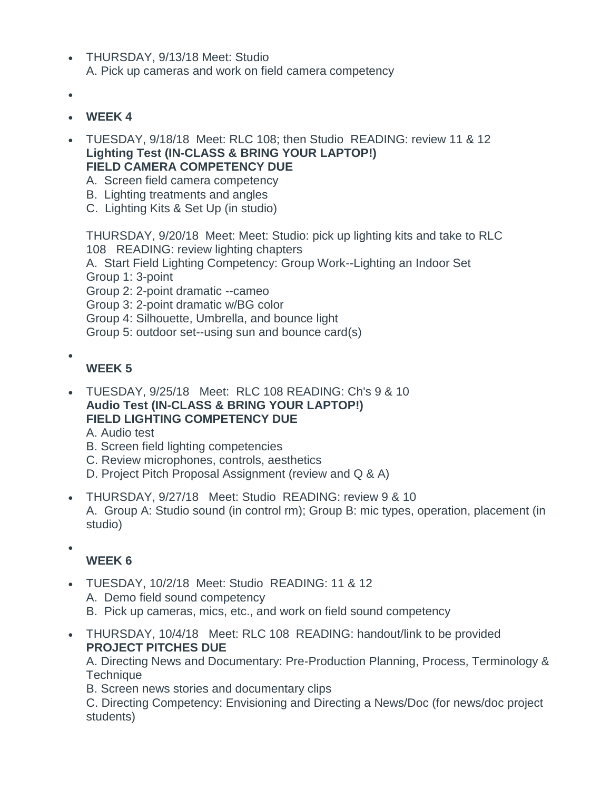- THURSDAY, 9/13/18 Meet: Studio A. Pick up cameras and work on field camera competency
- •
- **WEEK 4**
- TUESDAY, 9/18/18 Meet: RLC 108; then Studio READING: review 11 & 12 **Lighting Test (IN-CLASS & BRING YOUR LAPTOP!) FIELD CAMERA COMPETENCY DUE**
	- A. Screen field camera competency
	- B. Lighting treatments and angles
	- C. Lighting Kits & Set Up (in studio)

THURSDAY, 9/20/18 Meet: Meet: Studio: pick up lighting kits and take to RLC 108 READING: review lighting chapters A. Start Field Lighting Competency: Group Work--Lighting an Indoor Set Group 1: 3-point Group 2: 2-point dramatic --cameo Group 3: 2-point dramatic w/BG color Group 4: Silhouette, Umbrella, and bounce light Group 5: outdoor set--using sun and bounce card(s)

**WEEK 5**

•

- TUESDAY, 9/25/18 Meet: RLC 108 READING: Ch's 9 & 10 **Audio Test (IN-CLASS & BRING YOUR LAPTOP!) FIELD LIGHTING COMPETENCY DUE**
	- A. Audio test
	- B. Screen field lighting competencies
	- C. Review microphones, controls, aesthetics
	- D. Project Pitch Proposal Assignment (review and Q & A)
- THURSDAY, 9/27/18 Meet: Studio READING: review 9 & 10 A. Group A: Studio sound (in control rm); Group B: mic types, operation, placement (in studio)
- •

#### **WEEK 6**

- TUESDAY, 10/2/18 Meet: Studio READING: 11 & 12
	- A. Demo field sound competency
	- B. Pick up cameras, mics, etc., and work on field sound competency
- THURSDAY, 10/4/18 Meet: RLC 108 READING: handout/link to be provided **PROJECT PITCHES DUE**

A. Directing News and Documentary: Pre-Production Planning, Process, Terminology & **Technique** 

B. Screen news stories and documentary clips

C. Directing Competency: Envisioning and Directing a News/Doc (for news/doc project students)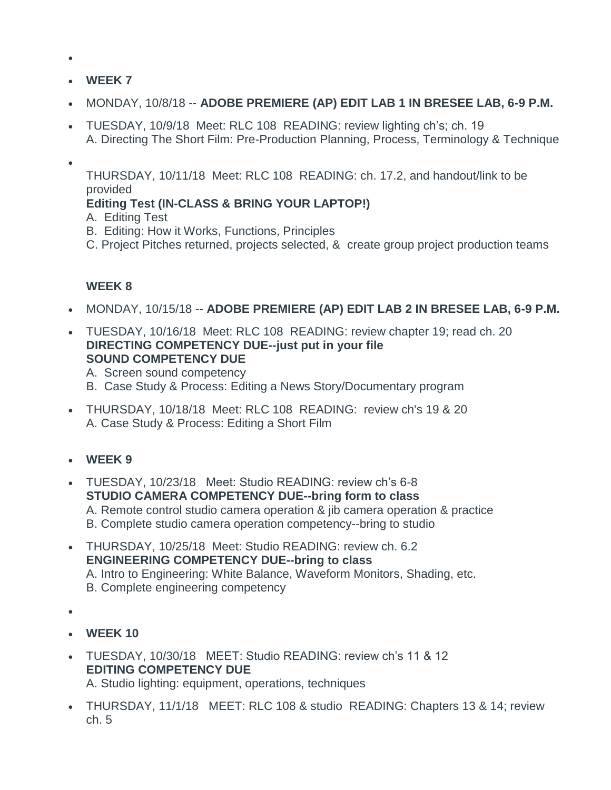- •
- **WEEK 7**
- MONDAY, 10/8/18 -- **ADOBE PREMIERE (AP) EDIT LAB 1 IN BRESEE LAB, 6-9 P.M.**
- TUESDAY, 10/9/18 Meet: RLC 108 READING: review lighting ch's; ch. 19 A. Directing The Short Film: Pre-Production Planning, Process, Terminology & Technique
- •

THURSDAY, 10/11/18 Meet: RLC 108 READING: ch. 17.2, and handout/link to be provided

### **Editing Test (IN-CLASS & BRING YOUR LAPTOP!)**

- A. Editing Test
- B. Editing: How it Works, Functions, Principles
- C. Project Pitches returned, projects selected, & create group project production teams

#### **WEEK 8**

- MONDAY, 10/15/18 -- **ADOBE PREMIERE (AP) EDIT LAB 2 IN BRESEE LAB, 6-9 P.M.**
- TUESDAY, 10/16/18 Meet: RLC 108 READING: review chapter 19; read ch. 20 **DIRECTING COMPETENCY DUE--just put in your file SOUND COMPETENCY DUE**
	- A. Screen sound competency
	- B. Case Study & Process: Editing a News Story/Documentary program
- THURSDAY, 10/18/18 Meet: RLC 108 READING: review ch's 19 & 20 A. Case Study & Process: Editing a Short Film
- **WEEK 9**
- TUESDAY, 10/23/18 Meet: Studio READING: review ch's 6-8 **STUDIO CAMERA COMPETENCY DUE--bring form to class** A. Remote control studio camera operation & jib camera operation & practice B. Complete studio camera operation competency--bring to studio
- THURSDAY, 10/25/18 Meet: Studio READING: review ch. 6.2 **ENGINEERING COMPETENCY DUE--bring to class** A. Intro to Engineering: White Balance, Waveform Monitors, Shading, etc. B. Complete engineering competency
- •
- **WEEK 10**
- TUESDAY, 10/30/18 MEET: Studio READING: review ch's 11 & 12 **EDITING COMPETENCY DUE** A. Studio lighting: equipment, operations, techniques
- THURSDAY, 11/1/18 MEET: RLC 108 & studio READING: Chapters 13 & 14; review ch. 5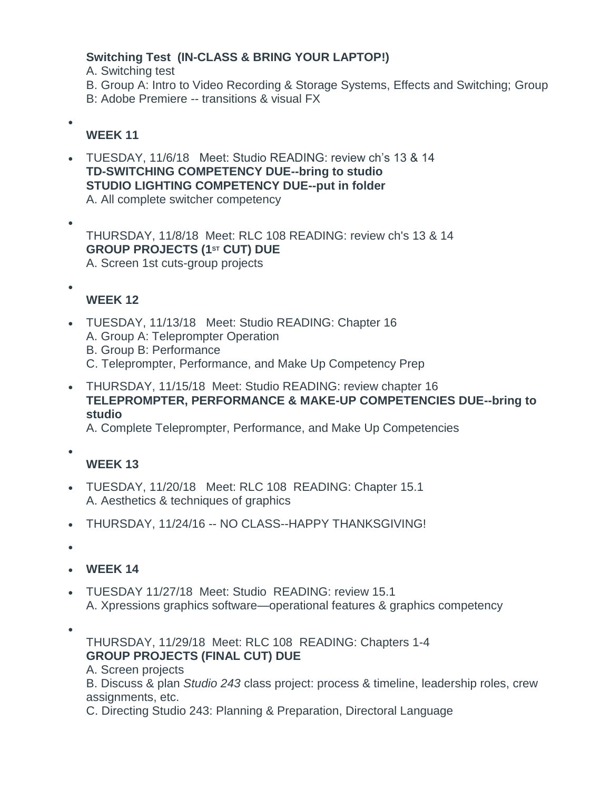#### **Switching Test (IN-CLASS & BRING YOUR LAPTOP!)**

A. Switching test

B. Group A: Intro to Video Recording & Storage Systems, Effects and Switching; Group

B: Adobe Premiere -- transitions & visual FX

### **WEEK 11**

•

•

• TUESDAY, 11/6/18 Meet: Studio READING: review ch's 13 & 14 **TD-SWITCHING COMPETENCY DUE--bring to studio STUDIO LIGHTING COMPETENCY DUE--put in folder** A. All complete switcher competency

THURSDAY, 11/8/18 Meet: RLC 108 READING: review ch's 13 & 14 **GROUP PROJECTS (1ST CUT) DUE** A. Screen 1st cuts-group projects

•

### **WEEK 12**

- TUESDAY, 11/13/18 Meet: Studio READING: Chapter 16 A. Group A: Teleprompter Operation B. Group B: Performance C. Teleprompter, Performance, and Make Up Competency Prep
- THURSDAY, 11/15/18 Meet: Studio READING: review chapter 16 **TELEPROMPTER, PERFORMANCE & MAKE-UP COMPETENCIES DUE--bring to studio**

A. Complete Teleprompter, Performance, and Make Up Competencies

•

#### **WEEK 13**

- TUESDAY, 11/20/18 Meet: RLC 108 READING: Chapter 15.1 A. Aesthetics & techniques of graphics
- THURSDAY, 11/24/16 -- NO CLASS--HAPPY THANKSGIVING!

•

- **WEEK 14**
- TUESDAY 11/27/18 Meet: Studio READING: review 15.1 A. Xpressions graphics software—operational features & graphics competency
- •

THURSDAY, 11/29/18 Meet: RLC 108 READING: Chapters 1-4 **GROUP PROJECTS (FINAL CUT) DUE**

A. Screen projects

B. Discuss & plan *Studio 243* class project: process & timeline, leadership roles, crew assignments, etc.

C. Directing Studio 243: Planning & Preparation, Directoral Language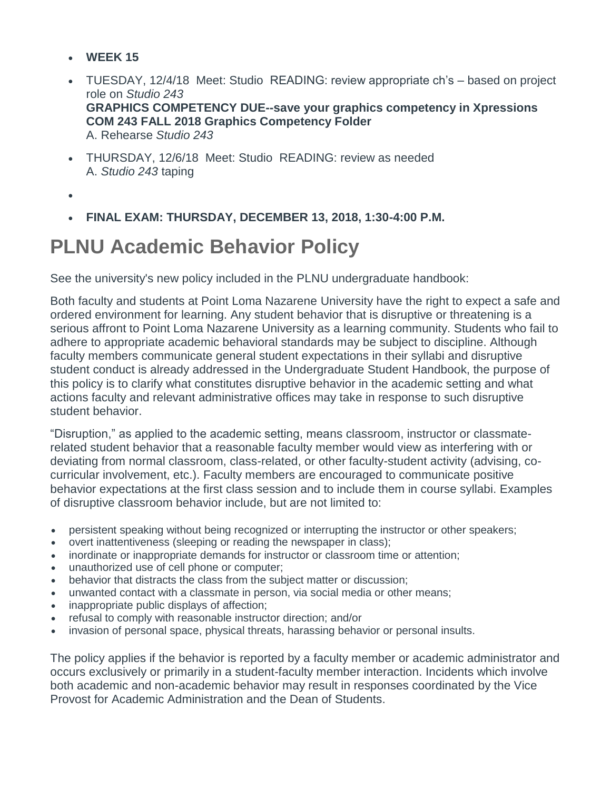- **WEEK 15**
- TUESDAY, 12/4/18 Meet: Studio READING: review appropriate ch's based on project role on *Studio 243* **GRAPHICS COMPETENCY DUE--save your graphics competency in Xpressions COM 243 FALL 2018 Graphics Competency Folder** A. Rehearse *Studio 243*
- THURSDAY, 12/6/18 Meet: Studio READING: review as needed A. *Studio 243* taping
- •
- **FINAL EXAM: THURSDAY, DECEMBER 13, 2018, 1:30-4:00 P.M.**

### **PLNU Academic Behavior Policy**

See the university's new policy included in the PLNU undergraduate handbook:

Both faculty and students at Point Loma Nazarene University have the right to expect a safe and ordered environment for learning. Any student behavior that is disruptive or threatening is a serious affront to Point Loma Nazarene University as a learning community. Students who fail to adhere to appropriate academic behavioral standards may be subject to discipline. Although faculty members communicate general student expectations in their syllabi and disruptive student conduct is already addressed in the Undergraduate Student Handbook, the purpose of this policy is to clarify what constitutes disruptive behavior in the academic setting and what actions faculty and relevant administrative offices may take in response to such disruptive student behavior.

"Disruption," as applied to the academic setting, means classroom, instructor or classmaterelated student behavior that a reasonable faculty member would view as interfering with or deviating from normal classroom, class-related, or other faculty-student activity (advising, cocurricular involvement, etc.). Faculty members are encouraged to communicate positive behavior expectations at the first class session and to include them in course syllabi. Examples of disruptive classroom behavior include, but are not limited to:

- persistent speaking without being recognized or interrupting the instructor or other speakers;
- overt inattentiveness (sleeping or reading the newspaper in class);
- inordinate or inappropriate demands for instructor or classroom time or attention;
- unauthorized use of cell phone or computer;
- behavior that distracts the class from the subject matter or discussion;
- unwanted contact with a classmate in person, via social media or other means;
- inappropriate public displays of affection;
- refusal to comply with reasonable instructor direction; and/or
- invasion of personal space, physical threats, harassing behavior or personal insults.

The policy applies if the behavior is reported by a faculty member or academic administrator and occurs exclusively or primarily in a student-faculty member interaction. Incidents which involve both academic and non-academic behavior may result in responses coordinated by the Vice Provost for Academic Administration and the Dean of Students.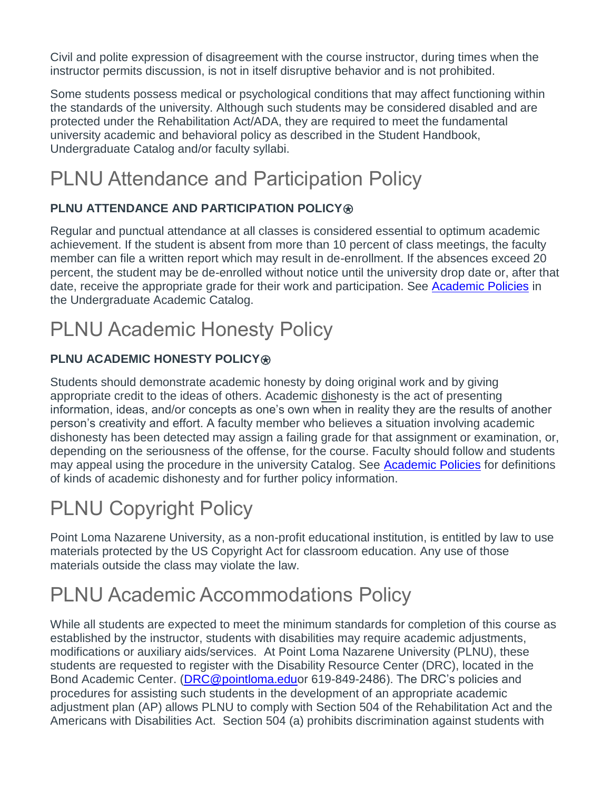Civil and polite expression of disagreement with the course instructor, during times when the instructor permits discussion, is not in itself disruptive behavior and is not prohibited.

Some students possess medical or psychological conditions that may affect functioning within the standards of the university. Although such students may be considered disabled and are protected under the Rehabilitation Act/ADA, they are required to meet the fundamental university academic and behavioral policy as described in the Student Handbook, Undergraduate Catalog and/or faculty syllabi.

# PLNU Attendance and Participation Policy

### **PLNU ATTENDANCE AND PARTICIPATION POLICY®**

Regular and punctual attendance at all classes is considered essential to optimum academic achievement. If the student is absent from more than 10 percent of class meetings, the faculty member can file a written report which may result in de-enrollment. If the absences exceed 20 percent, the student may be de-enrolled without notice until the university drop date or, after that date, receive the appropriate grade for their work and participation. See [Academic Policies](http://catalog.pointloma.edu/content.php?catoid=18&navoid=1278) in the Undergraduate Academic Catalog.

# PLNU Academic Honesty Policy

### **PLNU ACADEMIC HONESTY POLICY®**

Students should demonstrate academic honesty by doing original work and by giving appropriate credit to the ideas of others. Academic dishonesty is the act of presenting information, ideas, and/or concepts as one's own when in reality they are the results of another person's creativity and effort. A faculty member who believes a situation involving academic dishonesty has been detected may assign a failing grade for that assignment or examination, or, depending on the seriousness of the offense, for the course. Faculty should follow and students may appeal using the procedure in the university Catalog. See [Academic Policies](http://catalog.pointloma.edu/content.php?catoid=18&navoid=1278) for definitions of kinds of academic dishonesty and for further policy information.

# PLNU Copyright Policy

Point Loma Nazarene University, as a non-profit educational institution, is entitled by law to use materials protected by the US Copyright Act for classroom education. Any use of those materials outside the class may violate the law.

## PLNU Academic Accommodations Policy

While all students are expected to meet the minimum standards for completion of this course as established by the instructor, students with disabilities may require academic adjustments, modifications or auxiliary aids/services. At Point Loma Nazarene University (PLNU), these students are requested to register with the Disability Resource Center (DRC), located in the Bond Academic Center. [\(DRC@pointloma.eduo](mailto:DRC@pointloma.edu)r 619-849-2486). The DRC's policies and procedures for assisting such students in the development of an appropriate academic adjustment plan (AP) allows PLNU to comply with Section 504 of the Rehabilitation Act and the Americans with Disabilities Act. Section 504 (a) prohibits discrimination against students with